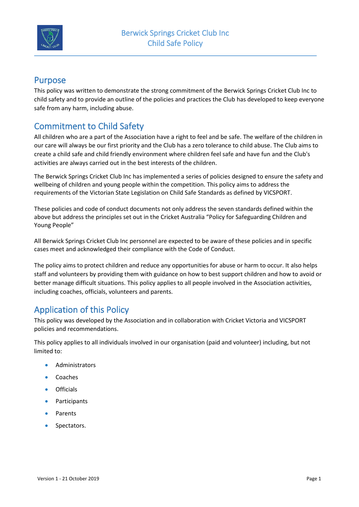

#### Purpose

This policy was written to demonstrate the strong commitment of the Berwick Springs Cricket Club Inc to child safety and to provide an outline of the policies and practices the Club has developed to keep everyone safe from any harm, including abuse.

# Commitment to Child Safety

All children who are a part of the Association have a right to feel and be safe. The welfare of the children in our care will always be our first priority and the Club has a zero tolerance to child abuse. The Club aims to create a child safe and child friendly environment where children feel safe and have fun and the Club's activities are always carried out in the best interests of the children.

The Berwick Springs Cricket Club Inc has implemented a series of policies designed to ensure the safety and wellbeing of children and young people within the competition. This policy aims to address the requirements of the Victorian State Legislation on Child Safe Standards as defined by VICSPORT.

These policies and code of conduct documents not only address the seven standards defined within the above but address the principles set out in the Cricket Australia "Policy for Safeguarding Children and Young People"

All Berwick Springs Cricket Club Inc personnel are expected to be aware of these policies and in specific cases meet and acknowledged their compliance with the Code of Conduct.

The policy aims to protect children and reduce any opportunities for abuse or harm to occur. It also helps staff and volunteers by providing them with guidance on how to best support children and how to avoid or better manage difficult situations. This policy applies to all people involved in the Association activities, including coaches, officials, volunteers and parents.

# Application of this Policy

This policy was developed by the Association and in collaboration with Cricket Victoria and VICSPORT policies and recommendations.

This policy applies to all individuals involved in our organisation (paid and volunteer) including, but not limited to:

- **Administrators**
- Coaches
- Officials
- Participants
- Parents
- Spectators.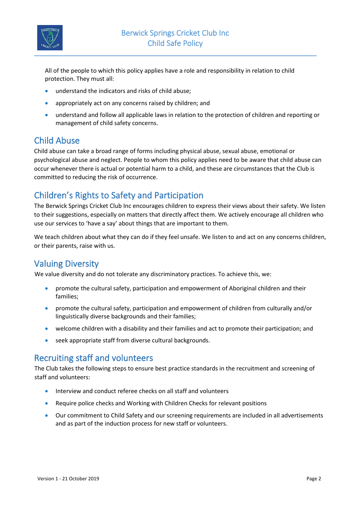

All of the people to which this policy applies have a role and responsibility in relation to child protection. They must all:

- understand the indicators and risks of child abuse;
- appropriately act on any concerns raised by children; and
- understand and follow all applicable laws in relation to the protection of children and reporting or management of child safety concerns.

### Child Abuse

Child abuse can take a broad range of forms including physical abuse, sexual abuse, emotional or psychological abuse and neglect. People to whom this policy applies need to be aware that child abuse can occur whenever there is actual or potential harm to a child, and these are circumstances that the Club is committed to reducing the risk of occurrence.

## Children's Rights to Safety and Participation

The Berwick Springs Cricket Club Inc encourages children to express their views about their safety. We listen to their suggestions, especially on matters that directly affect them. We actively encourage all children who use our services to 'have a say' about things that are important to them.

We teach children about what they can do if they feel unsafe. We listen to and act on any concerns children, or their parents, raise with us.

### Valuing Diversity

We value diversity and do not tolerate any discriminatory practices. To achieve this, we:

- promote the cultural safety, participation and empowerment of Aboriginal children and their families;
- promote the cultural safety, participation and empowerment of children from culturally and/or linguistically diverse backgrounds and their families;
- welcome children with a disability and their families and act to promote their participation; and
- seek appropriate staff from diverse cultural backgrounds.

### Recruiting staff and volunteers

The Club takes the following steps to ensure best practice standards in the recruitment and screening of staff and volunteers:

- Interview and conduct referee checks on all staff and volunteers
- Require police checks and Working with Children Checks for relevant positions
- Our commitment to Child Safety and our screening requirements are included in all advertisements and as part of the induction process for new staff or volunteers.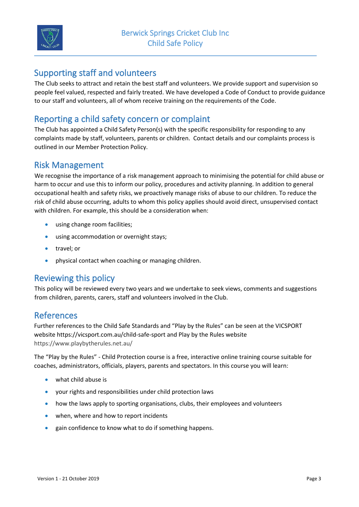

### Supporting staff and volunteers

The Club seeks to attract and retain the best staff and volunteers. We provide support and supervision so people feel valued, respected and fairly treated. We have developed a Code of Conduct to provide guidance to our staff and volunteers, all of whom receive training on the requirements of the Code.

## Reporting a child safety concern or complaint

The Club has appointed a Child Safety Person(s) with the specific responsibility for responding to any complaints made by staff, volunteers, parents or children. Contact details and our complaints process is outlined in our Member Protection Policy.

### Risk Management

We recognise the importance of a risk management approach to minimising the potential for child abuse or harm to occur and use this to inform our policy, procedures and activity planning. In addition to general occupational health and safety risks, we proactively manage risks of abuse to our children. To reduce the risk of child abuse occurring, adults to whom this policy applies should avoid direct, unsupervised contact with children. For example, this should be a consideration when:

- using change room facilities;
- using accommodation or overnight stays;
- travel; or
- physical contact when coaching or managing children.

### Reviewing this policy

This policy will be reviewed every two years and we undertake to seek views, comments and suggestions from children, parents, carers, staff and volunteers involved in the Club.

### References

Further references to the Child Safe Standards and "Play by the Rules" can be seen at the VICSPORT website https://vicsport.com.au/child-safe-sport and Play by the Rules website <https://www.playbytherules.net.au/>

The "Play by the Rules" - Child Protection course is a free, interactive online training course suitable for coaches, administrators, officials, players, parents and spectators. In this course you will learn:

- what child abuse is
- your rights and responsibilities under child protection laws
- how the laws apply to sporting organisations, clubs, their employees and volunteers
- when, where and how to report incidents
- gain confidence to know what to do if something happens.